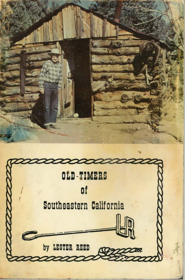

by LESTER REED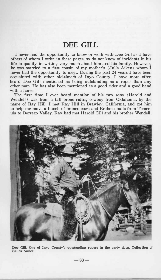## **DEE GILL**

**I never had the opportunity to know or work with Dee Gill as I have others of whom I write in these pages, so do not know of incidents in his life to qualify in writing very much about him and his family. However, he was married to a first cousin of my mother's (Julia Aiken) whom I never had the opportunity to meet. During the past 24 years I have been acquainted with other old-timers of Inyo County, I have more often heard Dee Gill mentioned as being outstanding as a roper than any other man. He has also been mentioned as a good rider and a good hand with a horse.** 

**The first time I ever heard mention of his two sons (Harold and Wendell) was from a tall bronc riding cowboy from Oklahoma, by the name of Ray Hill. I met Ray Hill in Brawley, California, and got him to help me move a bunch of bronco cows and Brahma bulls from Temecula to Borrego Valley. Ray had met Harold Gill and his brother Wendell,** 



**Dee Gill. One of Inyo County's outstanding ropers in the early days. Collection of Relles Amick.** 

**-88-**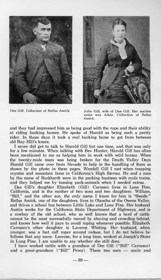



**Dee Gill. Collection of Relles Amick. Julia Gill, wife of Dee Gill. Her maiden** 

**name was Aiken. Collection of Relles Amick.** 

and they had impressed him as being good with the rope and their ability **at riding bucking horses. He spoke of Harold as being such a pretty rider. In those days it took a real bucking horse to get from between old Ray Hill's knees.** 

**I never djd get to talk to Harold Gill but one time, and that was only for a few minutes. When talking with Bev Hunter, Harold Gill has often been mentioned to me as helping him in work with wild horses. When the twenty-mule team was being broken for the Death Valley Days Harold Gili came over from Nevada to help in the handling of them as shown by the photo in these pages. Wendell Gill I met when trapping coyotes and mountain lions in California's High Sierras. He and a man by the name of Burkhardt were in the packing business with mule trains, and they helped me by loaning pack-animals when I needed extras.** 

**Dee Gill's daughter Elizabeth (Gill) Carrasco lives in Lone Pine, California, and is the mother of two sons and two daughters: William, "Bill," and the other son, the only name I know for him is "Swede." Rellas Amick, one of the daughters, lives in Olancha of the Owens Valley, and drives a school bus between Little Lake and Lone Pine. Her husband Austin works for the California State Department of Highways, and is a cowboy of the old school, who so well knows that a herd of cattle cannot be the most successfully moved by shoving and crowding behind, and knows how well it pays to avoid roping whenever possible. Elizabeth Carrasco's other daughter is Laverne Whiting. Her husband, when younger, was a fast calf roper around rodeos, but I do not believe he follows that any more. Laverne, for a long time, worked at Joseph's Store in Long Pine. I am unable to say whether she still does.** 

**I have worked cattle with a grandson of Dee Gill ("Bill" Carrasco)**  and a great-grandson ("Bill" Perez). These two men — uncle and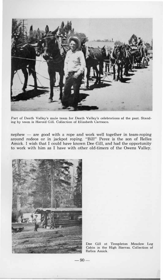

**Part of Death Valley's mule team for Death Valley's celebrations of the past. Standing by team is Harold Gill. Collection of Elizabeth Carrasco.** 

 $nephew$  - are good with a rope and work well together in team-roping around rodeos or in jackpot roping. "Bill" Perez is the son of Relles Amick. I wish that I could have known Dee Gill, and had the opportunity to work with him as I have with other old-timers of the Owens Valley.



**Dee Gill at Templeton Meadow Log Cabin in the High Sierras. Collection of Relles Amick.** 

 $-90-$